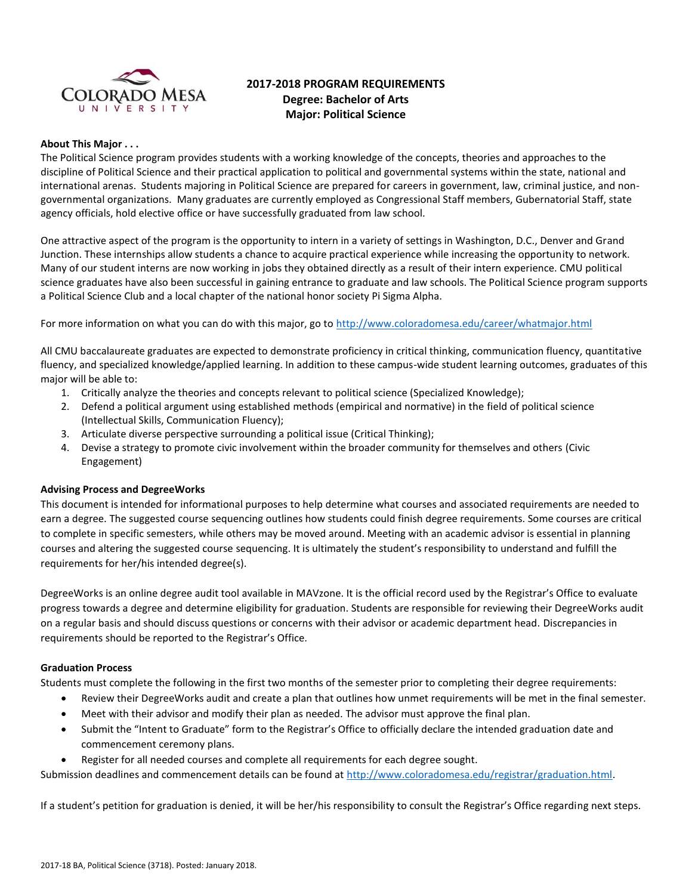

# **2017-2018 PROGRAM REQUIREMENTS Degree: Bachelor of Arts Major: Political Science**

### **About This Major . . .**

The Political Science program provides students with a working knowledge of the concepts, theories and approaches to the discipline of Political Science and their practical application to political and governmental systems within the state, national and international arenas. Students majoring in Political Science are prepared for careers in government, law, criminal justice, and nongovernmental organizations. Many graduates are currently employed as Congressional Staff members, Gubernatorial Staff, state agency officials, hold elective office or have successfully graduated from law school.

One attractive aspect of the program is the opportunity to intern in a variety of settings in Washington, D.C., Denver and Grand Junction. These internships allow students a chance to acquire practical experience while increasing the opportunity to network. Many of our student interns are now working in jobs they obtained directly as a result of their intern experience. CMU political science graduates have also been successful in gaining entrance to graduate and law schools. The Political Science program supports a Political Science Club and a local chapter of the national honor society Pi Sigma Alpha.

For more information on what you can do with this major, go to<http://www.coloradomesa.edu/career/whatmajor.html>

All CMU baccalaureate graduates are expected to demonstrate proficiency in critical thinking, communication fluency, quantitative fluency, and specialized knowledge/applied learning. In addition to these campus-wide student learning outcomes, graduates of this major will be able to:

- 1. Critically analyze the theories and concepts relevant to political science (Specialized Knowledge);
- 2. Defend a political argument using established methods (empirical and normative) in the field of political science (Intellectual Skills, Communication Fluency);
- 3. Articulate diverse perspective surrounding a political issue (Critical Thinking);
- 4. Devise a strategy to promote civic involvement within the broader community for themselves and others (Civic Engagement)

### **Advising Process and DegreeWorks**

This document is intended for informational purposes to help determine what courses and associated requirements are needed to earn a degree. The suggested course sequencing outlines how students could finish degree requirements. Some courses are critical to complete in specific semesters, while others may be moved around. Meeting with an academic advisor is essential in planning courses and altering the suggested course sequencing. It is ultimately the student's responsibility to understand and fulfill the requirements for her/his intended degree(s).

DegreeWorks is an online degree audit tool available in MAVzone. It is the official record used by the Registrar's Office to evaluate progress towards a degree and determine eligibility for graduation. Students are responsible for reviewing their DegreeWorks audit on a regular basis and should discuss questions or concerns with their advisor or academic department head. Discrepancies in requirements should be reported to the Registrar's Office.

### **Graduation Process**

Students must complete the following in the first two months of the semester prior to completing their degree requirements:

- Review their DegreeWorks audit and create a plan that outlines how unmet requirements will be met in the final semester.
- Meet with their advisor and modify their plan as needed. The advisor must approve the final plan.
- Submit the "Intent to Graduate" form to the Registrar's Office to officially declare the intended graduation date and commencement ceremony plans.
- Register for all needed courses and complete all requirements for each degree sought.

Submission deadlines and commencement details can be found at [http://www.coloradomesa.edu/registrar/graduation.html.](http://www.coloradomesa.edu/registrar/graduation.html)

If a student's petition for graduation is denied, it will be her/his responsibility to consult the Registrar's Office regarding next steps.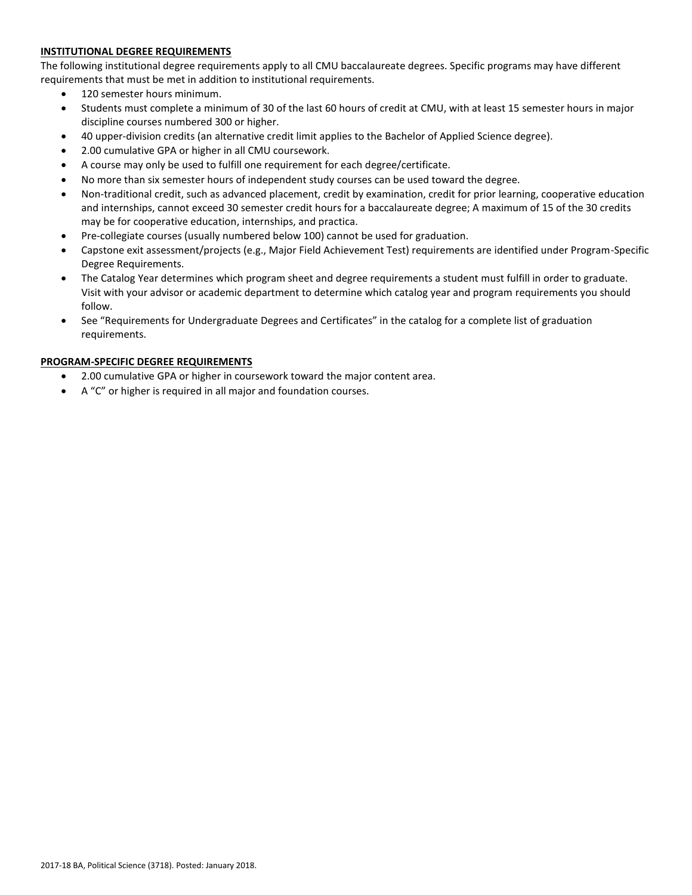# **INSTITUTIONAL DEGREE REQUIREMENTS**

The following institutional degree requirements apply to all CMU baccalaureate degrees. Specific programs may have different requirements that must be met in addition to institutional requirements.

- 120 semester hours minimum.
- Students must complete a minimum of 30 of the last 60 hours of credit at CMU, with at least 15 semester hours in major discipline courses numbered 300 or higher.
- 40 upper-division credits (an alternative credit limit applies to the Bachelor of Applied Science degree).
- 2.00 cumulative GPA or higher in all CMU coursework.
- A course may only be used to fulfill one requirement for each degree/certificate.
- No more than six semester hours of independent study courses can be used toward the degree.
- Non-traditional credit, such as advanced placement, credit by examination, credit for prior learning, cooperative education and internships, cannot exceed 30 semester credit hours for a baccalaureate degree; A maximum of 15 of the 30 credits may be for cooperative education, internships, and practica.
- Pre-collegiate courses (usually numbered below 100) cannot be used for graduation.
- Capstone exit assessment/projects (e.g., Major Field Achievement Test) requirements are identified under Program-Specific Degree Requirements.
- The Catalog Year determines which program sheet and degree requirements a student must fulfill in order to graduate. Visit with your advisor or academic department to determine which catalog year and program requirements you should follow.
- See "Requirements for Undergraduate Degrees and Certificates" in the catalog for a complete list of graduation requirements.

# **PROGRAM-SPECIFIC DEGREE REQUIREMENTS**

- 2.00 cumulative GPA or higher in coursework toward the major content area.
- A "C" or higher is required in all major and foundation courses.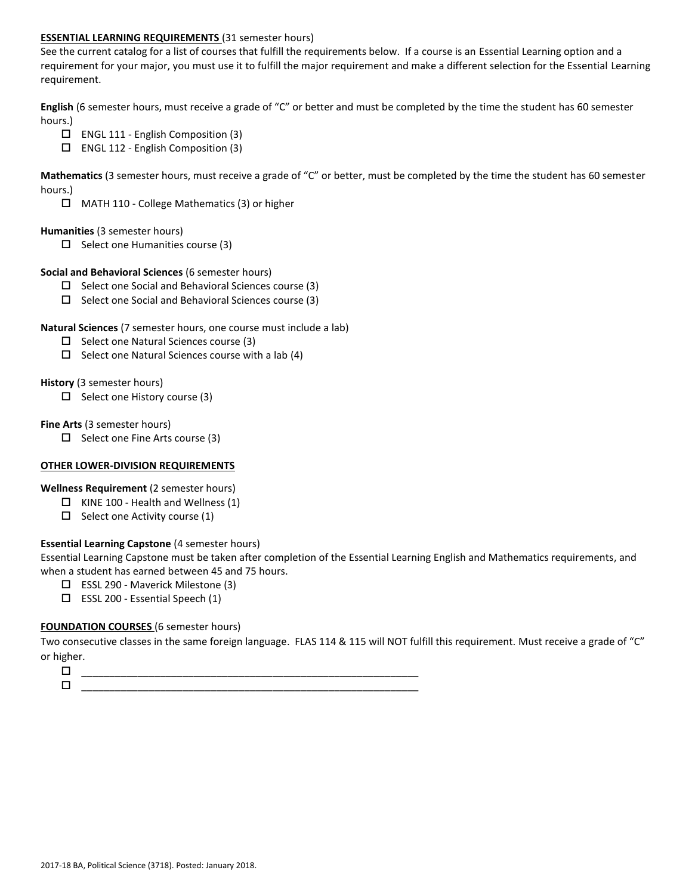### **ESSENTIAL LEARNING REQUIREMENTS** (31 semester hours)

See the current catalog for a list of courses that fulfill the requirements below. If a course is an Essential Learning option and a requirement for your major, you must use it to fulfill the major requirement and make a different selection for the Essential Learning requirement.

**English** (6 semester hours, must receive a grade of "C" or better and must be completed by the time the student has 60 semester hours.)

- $\Box$  ENGL 111 English Composition (3)
- ENGL 112 English Composition (3)

**Mathematics** (3 semester hours, must receive a grade of "C" or better, must be completed by the time the student has 60 semester hours.)

MATH 110 - College Mathematics (3) or higher

### **Humanities** (3 semester hours)

 $\Box$  Select one Humanities course (3)

### **Social and Behavioral Sciences** (6 semester hours)

- $\Box$  Select one Social and Behavioral Sciences course (3)
- $\square$  Select one Social and Behavioral Sciences course (3)

### **Natural Sciences** (7 semester hours, one course must include a lab)

- $\square$  Select one Natural Sciences course (3)
- $\Box$  Select one Natural Sciences course with a lab (4)

### **History** (3 semester hours)

 $\Box$  Select one History course (3)

### **Fine Arts** (3 semester hours)

 $\Box$  Select one Fine Arts course (3)

# **OTHER LOWER-DIVISION REQUIREMENTS**

**Wellness Requirement** (2 semester hours)

- $\Box$  KINE 100 Health and Wellness (1)
- $\Box$  Select one Activity course (1)

# **Essential Learning Capstone** (4 semester hours)

Essential Learning Capstone must be taken after completion of the Essential Learning English and Mathematics requirements, and when a student has earned between 45 and 75 hours.

- ESSL 290 Maverick Milestone (3)
- $\square$  ESSL 200 Essential Speech (1)

# **FOUNDATION COURSES** (6 semester hours)

Two consecutive classes in the same foreign language. FLAS 114 & 115 will NOT fulfill this requirement. Must receive a grade of "C" or higher.

 $\Box$   $\underline{\hspace{1cm}}$   $\underline{\hspace{1cm}}$   $\underline{\hspace{1cm}}$   $\underline{\hspace{1cm}}$   $\overline{\hspace{1cm}}$   $\overline{\hspace{1cm}}$   $\overline{\hspace{1cm}}$   $\overline{\hspace{1cm}}$   $\overline{\hspace{1cm}}$   $\overline{\hspace{1cm}}$   $\overline{\hspace{1cm}}$   $\overline{\hspace{1cm}}$   $\overline{\hspace{1cm}}$   $\overline{\hspace{1cm}}$   $\overline{\hspace{1cm}}$   $\overline{\hspace{1cm}}$   $\overline{\hspace{1$ \_\_\_\_\_\_\_\_\_\_\_\_\_\_\_\_\_\_\_\_\_\_\_\_\_\_\_\_\_\_\_\_\_\_\_\_\_\_\_\_\_\_\_\_\_\_\_\_\_\_\_\_\_\_\_\_\_\_\_\_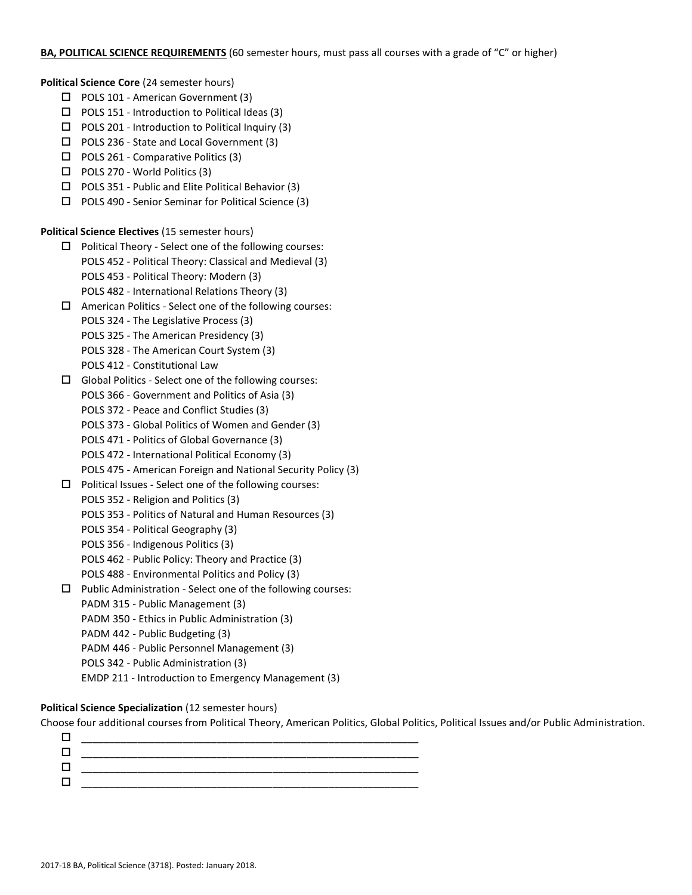### **BA, POLITICAL SCIENCE REQUIREMENTS** (60 semester hours, must pass all courses with a grade of "C" or higher)

**Political Science Core** (24 semester hours)

- □ POLS 101 American Government (3)
- $\Box$  POLS 151 Introduction to Political Ideas (3)
- $\Box$  POLS 201 Introduction to Political Inquiry (3)
- □ POLS 236 State and Local Government (3)
- $\Box$  POLS 261 Comparative Politics (3)
- □ POLS 270 World Politics (3)
- $\Box$  POLS 351 Public and Elite Political Behavior (3)
- $\Box$  POLS 490 Senior Seminar for Political Science (3)

**Political Science Electives** (15 semester hours)

- $\square$  Political Theory Select one of the following courses: POLS 452 - Political Theory: Classical and Medieval (3) POLS 453 - Political Theory: Modern (3) POLS 482 - International Relations Theory (3)
- $\Box$  American Politics Select one of the following courses: POLS 324 - The Legislative Process (3) POLS 325 - The American Presidency (3) POLS 328 - The American Court System (3)
	- POLS 412 Constitutional Law
- $\Box$  Global Politics Select one of the following courses:
	- POLS 366 Government and Politics of Asia (3)
	- POLS 372 Peace and Conflict Studies (3)
	- POLS 373 Global Politics of Women and Gender (3)
	- POLS 471 Politics of Global Governance (3)
	- POLS 472 International Political Economy (3)
	- POLS 475 American Foreign and National Security Policy (3)
- $\Box$  Political Issues Select one of the following courses:
	- POLS 352 Religion and Politics (3)
	- POLS 353 Politics of Natural and Human Resources (3)
	- POLS 354 Political Geography (3)
	- POLS 356 Indigenous Politics (3)
	- POLS 462 Public Policy: Theory and Practice (3)
	- POLS 488 Environmental Politics and Policy (3)
- $\Box$  Public Administration Select one of the following courses:
	- PADM 315 Public Management (3)
	- PADM 350 Ethics in Public Administration (3)
	- PADM 442 Public Budgeting (3)
	- PADM 446 Public Personnel Management (3)
	- POLS 342 Public Administration (3)
	- EMDP 211 Introduction to Emergency Management (3)

# **Political Science Specialization** (12 semester hours)

Choose four additional courses from Political Theory, American Politics, Global Politics, Political Issues and/or Public Administration.

| $\mathbf{L}$ |  |
|--------------|--|
| $\mathbf{L}$ |  |
|              |  |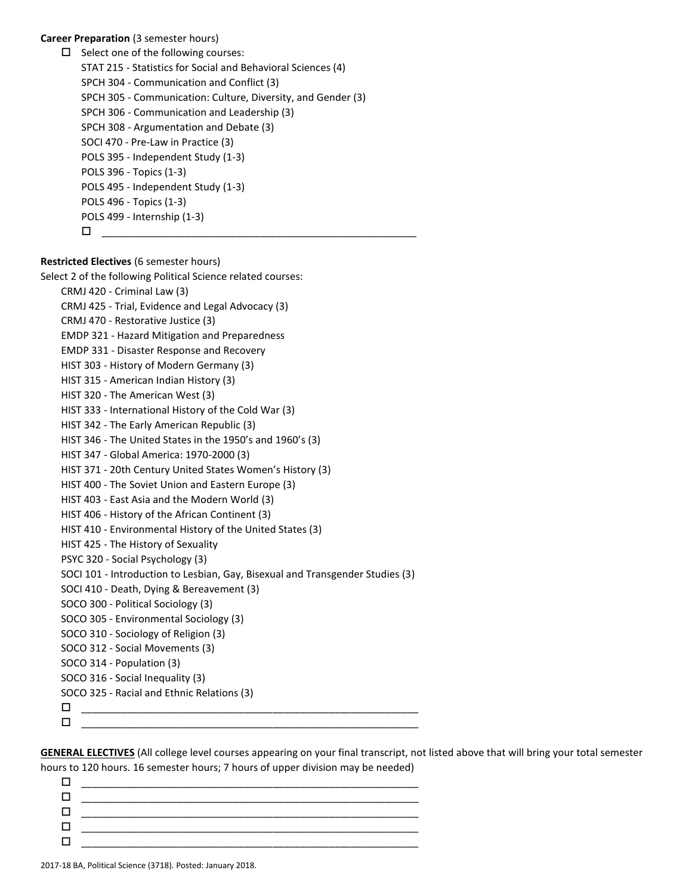**Career Preparation** (3 semester hours)

 $\Box$  Select one of the following courses: STAT 215 - Statistics for Social and Behavioral Sciences (4) SPCH 304 - Communication and Conflict (3) SPCH 305 - Communication: Culture, Diversity, and Gender (3) SPCH 306 - Communication and Leadership (3) SPCH 308 - Argumentation and Debate (3) SOCI 470 - Pre-Law in Practice (3) POLS 395 - Independent Study (1-3) POLS 396 - Topics (1-3) POLS 495 - Independent Study (1-3) POLS 496 - Topics (1-3) POLS 499 - Internship (1-3) \_\_\_\_\_\_\_\_\_\_\_\_\_\_\_\_\_\_\_\_\_\_\_\_\_\_\_\_\_\_\_\_\_\_\_\_\_\_\_\_\_\_\_\_\_\_\_\_\_\_\_\_\_\_\_\_

**Restricted Electives** (6 semester hours) Select 2 of the following Political Science related courses: CRMJ 420 - Criminal Law (3) CRMJ 425 - Trial, Evidence and Legal Advocacy (3) CRMJ 470 - Restorative Justice (3) EMDP 321 - Hazard Mitigation and Preparedness EMDP 331 - Disaster Response and Recovery HIST 303 - History of Modern Germany (3) HIST 315 - American Indian History (3) HIST 320 - The American West (3) HIST 333 - International History of the Cold War (3) HIST 342 - The Early American Republic (3) HIST 346 - The United States in the 1950's and 1960's (3) HIST 347 - Global America: 1970-2000 (3) HIST 371 - 20th Century United States Women's History (3) HIST 400 - The Soviet Union and Eastern Europe (3) HIST 403 - East Asia and the Modern World (3) HIST 406 - History of the African Continent (3) HIST 410 - Environmental History of the United States (3) HIST 425 - The History of Sexuality PSYC 320 - Social Psychology (3) SOCI 101 - Introduction to Lesbian, Gay, Bisexual and Transgender Studies (3) SOCI 410 - Death, Dying & Bereavement (3) SOCO 300 - Political Sociology (3) SOCO 305 - Environmental Sociology (3) SOCO 310 - Sociology of Religion (3) SOCO 312 - Social Movements (3) SOCO 314 - Population (3) SOCO 316 - Social Inequality (3) SOCO 325 - Racial and Ethnic Relations (3)  $\Box$   $\underline{\hspace{1cm}}$   $\underline{\hspace{1cm}}$   $\underline{\hspace{1cm}}$   $\underline{\hspace{1cm}}$   $\overline{\hspace{1cm}}$   $\overline{\hspace{1cm}}$   $\overline{\hspace{1cm}}$   $\overline{\hspace{1cm}}$   $\overline{\hspace{1cm}}$   $\overline{\hspace{1cm}}$   $\overline{\hspace{1cm}}$   $\overline{\hspace{1cm}}$   $\overline{\hspace{1cm}}$   $\overline{\hspace{1cm}}$   $\overline{\hspace{1cm}}$   $\overline{\hspace{1cm}}$   $\overline{\hspace{1$  $\Box$ 

**GENERAL ELECTIVES** (All college level courses appearing on your final transcript, not listed above that will bring your total semester hours to 120 hours. 16 semester hours; 7 hours of upper division may be needed)

| ______________<br>__________<br>_____<br>_______<br>___ |
|---------------------------------------------------------|
|                                                         |
|                                                         |
| _____                                                   |
|                                                         |